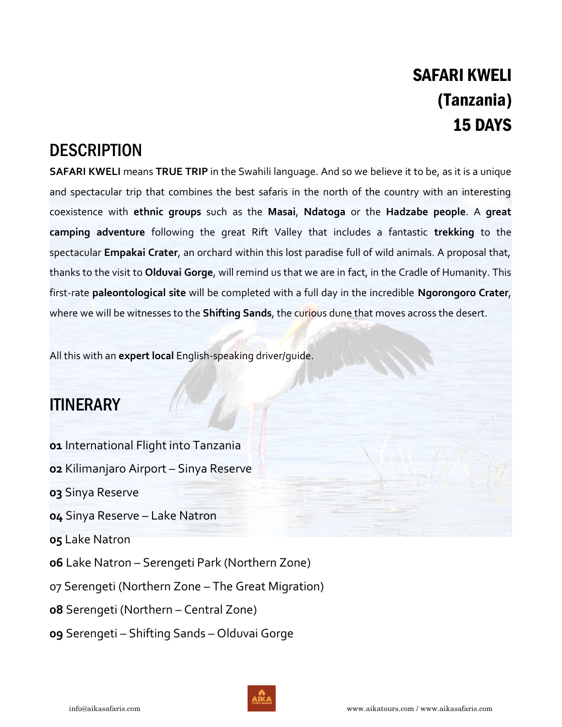# SAFARI KWELI (Tanzania) 15 DAYS

# **DESCRIPTION**

**SAFARI KWELI** means **TRUE TRIP** in the Swahili language. And so we believe it to be, as it is a unique and spectacular trip that combines the best safaris in the north of the country with an interesting coexistence with **ethnic groups** such as the **Masai**, **Ndatoga** or the **Hadzabe people**. A **great camping adventure** following the great Rift Valley that includes a fantastic **trekking** to the spectacular **Empakai Crater**, an orchard within this lost paradise full of wild animals. A proposal that, thanks to the visit to **Olduvai Gorge**, will remind us that we are in fact, in the Cradle of Humanity. This first-rate **paleontological site** will be completed with a full day in the incredible **Ngorongoro Crater**, where we will be witnesses to the **Shifting Sands**, the curious dune that moves across the desert.

All this with an **expert local** English-speaking driver/guide.

# ITINERARY

- **01** International Flight into Tanzania
- **02** Kilimanjaro Airport Sinya Reserve
- **03** Sinya Reserve
- **04** Sinya Reserve Lake Natron
- **05** Lake Natron
- **06** Lake Natron Serengeti Park (Northern Zone)
- 07 Serengeti (Northern Zone The Great Migration)
- **08** Serengeti (Northern Central Zone)
- **09** Serengeti Shifting Sands Olduvai Gorge

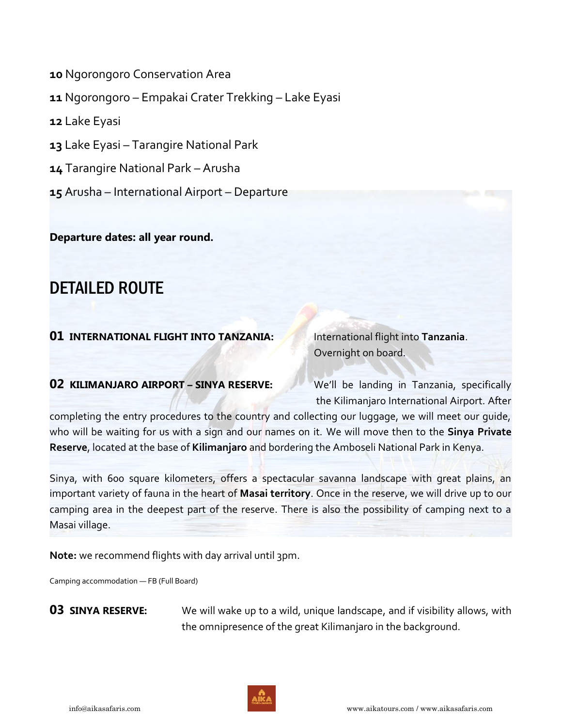Ngorongoro Conservation Area Ngorongoro – Empakai Crater Trekking – Lake Eyasi Lake Eyasi Lake Eyasi – Tarangire National Park Tarangire National Park – Arusha Arusha – International Airport – Departure

**Departure dates: all year round.** 

# DETAILED ROUTE

# **01 INTERNATIONAL FLIGHT INTO TANZANIA:** International flight into Tanzania.

Overnight on board.

## **02 KILIMANJARO AIRPORT - SINYA RESERVE:** We'll be landing in Tanzania, specifically

the Kilimanjaro International Airport. After

completing the entry procedures to the country and collecting our luggage, we will meet our guide, who will be waiting for us with a sign and our names on it. We will move then to the **Sinya Private Reserve**, located at the base of **Kilimanjaro** and bordering the Amboseli National Park in Kenya.

Sinya, with 600 square kilometers, offers a spectacular savanna landscape with great plains, an important variety of fauna in the heart of **Masai territory**. Once in the reserve, we will drive up to our camping area in the deepest part of the reserve. There is also the possibility of camping next to a Masai village.

**Note:** we recommend flights with day arrival until 3pm.

Camping accommodation — FB (Full Board)

**03 SINYA RESERVE:** We will wake up to a wild, unique landscape, and if visibility allows, with the omnipresence of the great Kilimanjaro in the background.

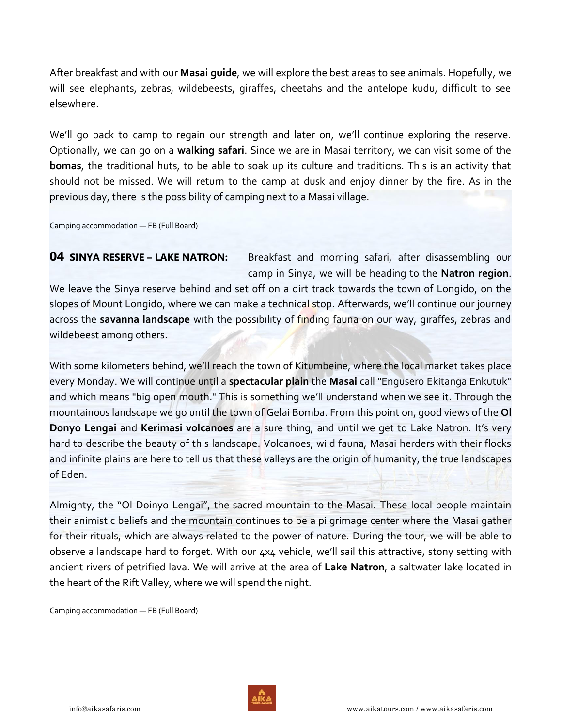After breakfast and with our **Masai guide**, we will explore the best areas to see animals. Hopefully, we will see elephants, zebras, wildebeests, giraffes, cheetahs and the antelope kudu, difficult to see elsewhere.

We'll go back to camp to regain our strength and later on, we'll continue exploring the reserve. Optionally, we can go on a **walking safari**. Since we are in Masai territory, we can visit some of the **bomas**, the traditional huts, to be able to soak up its culture and traditions. This is an activity that should not be missed. We will return to the camp at dusk and enjoy dinner by the fire. As in the previous day, there is the possibility of camping next to a Masai village.

Camping accommodation — FB (Full Board)

**04 SINYA RESERVE – LAKE NATRON:** Breakfast and morning safari, after disassembling our camp in Sinya, we will be heading to the **Natron region**.

We leave the Sinya reserve behind and set off on a dirt track towards the town of Longido, on the slopes of Mount Longido, where we can make a technical stop. Afterwards, we'll continue our journey across the **savanna landscape** with the possibility of finding fauna on our way, giraffes, zebras and wildebeest among others.

With some kilometers behind, we'll reach the town of Kitumbeine, where the local market takes place every Monday. We will continue until a **spectacular plain** the **Masai** call "Engusero Ekitanga Enkutuk" and which means "big open mouth." This is something we'll understand when we see it. Through the mountainous landscape we go until the town of Gelai Bomba. From this point on, good views of the **Ol Donyo Lengai** and **Kerimasi volcanoes** are a sure thing, and until we get to Lake Natron. It's very hard to describe the beauty of this landscape. Volcanoes, wild fauna, Masai herders with their flocks and infinite plains are here to tell us that these valleys are the origin of humanity, the true landscapes of Eden.

Almighty, the "Ol Doinyo Lengai", the sacred mountain to the Masai. These local people maintain their animistic beliefs and the mountain continues to be a pilgrimage center where the Masai gather for their rituals, which are always related to the power of nature. During the tour, we will be able to observe a landscape hard to forget. With our 4x4 vehicle, we'll sail this attractive, stony setting with ancient rivers of petrified lava. We will arrive at the area of **Lake Natron**, a saltwater lake located in the heart of the Rift Valley, where we will spend the night.

Camping accommodation — FB (Full Board)

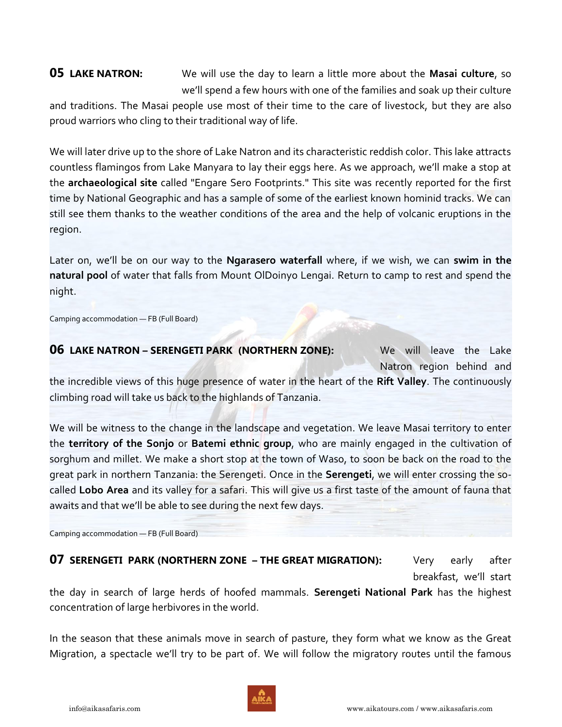**05 LAKE NATRON:** We will use the day to learn a little more about the **Masai culture**, so we'll spend a few hours with one of the families and soak up their culture

and traditions. The Masai people use most of their time to the care of livestock, but they are also proud warriors who cling to their traditional way of life.

We will later drive up to the shore of Lake Natron and its characteristic reddish color. This lake attracts countless flamingos from Lake Manyara to lay their eggs here. As we approach, we'll make a stop at the **archaeological site** called "Engare Sero Footprints." This site was recently reported for the first time by National Geographic and has a sample of some of the earliest known hominid tracks. We can still see them thanks to the weather conditions of the area and the help of volcanic eruptions in the region.

Later on, we'll be on our way to the **Ngarasero waterfall** where, if we wish, we can **swim in the natural pool** of water that falls from Mount OlDoinyo Lengai. Return to camp to rest and spend the night.

Camping accommodation — FB (Full Board)

## **06 LAKE NATRON – SERENGETI PARK (NORTHERN ZONE):** We will leave the Lake

Natron region behind and

the incredible views of this huge presence of water in the heart of the **Rift Valley**. The continuously climbing road will take us back to the highlands of Tanzania.

We will be witness to the change in the landscape and vegetation. We leave Masai territory to enter the **territory of the Sonjo** or **Batemi ethnic group**, who are mainly engaged in the cultivation of sorghum and millet. We make a short stop at the town of Waso, to soon be back on the road to the great park in northern Tanzania: the Serengeti. Once in the **Serengeti**, we will enter crossing the socalled **Lobo Area** and its valley for a safari. This will give us a first taste of the amount of fauna that awaits and that we'll be able to see during the next few days.

Camping accommodation — FB (Full Board)

# **07 SERENGETI PARK (NORTHERN ZONE – THE GREAT MIGRATION):** Very early after

breakfast, we'll start

the day in search of large herds of hoofed mammals. **Serengeti National Park** has the highest concentration of large herbivores in the world.

In the season that these animals move in search of pasture, they form what we know as the Great Migration, a spectacle we'll try to be part of. We will follow the migratory routes until the famous

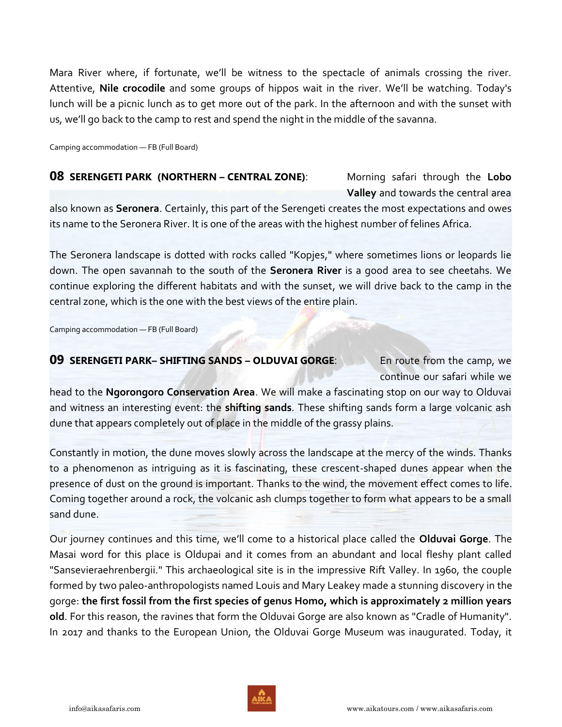Mara River where, if fortunate, we'll be witness to the spectacle of animals crossing the river. Attentive, **Nile crocodile** and some groups of hippos wait in the river. We'll be watching. Today's lunch will be a picnic lunch as to get more out of the park. In the afternoon and with the sunset with us, we'll go back to the camp to rest and spend the night in the middle of the savanna.

Camping accommodation — FB (Full Board)

### **08 SERENGETI PARK (NORTHERN – CENTRAL ZONE)**: Morning safari through the **Lobo**

 **Valley** and towards the central area also known as **Seronera**. Certainly, this part of the Serengeti creates the most expectations and owes its name to the Seronera River. It is one of the areas with the highest number of felines Africa.

The Seronera landscape is dotted with rocks called "Kopjes," where sometimes lions or leopards lie down. The open savannah to the south of the **Seronera River** is a good area to see cheetahs. We continue exploring the different habitats and with the sunset, we will drive back to the camp in the central zone, which is the one with the best views of the entire plain.

Camping accommodation — FB (Full Board)

### **09 SERENGETI PARK– SHIFTING SANDS – OLDUVAI GORGE**: En route from the camp, we

continue our safari while we

head to the **Ngorongoro Conservation Area**. We will make a fascinating stop on our way to Olduvai and witness an interesting event: the **shifting sands**. These shifting sands form a large volcanic ash dune that appears completely out of place in the middle of the grassy plains.

Constantly in motion, the dune moves slowly across the landscape at the mercy of the winds. Thanks to a phenomenon as intriguing as it is fascinating, these crescent-shaped dunes appear when the presence of dust on the ground is important. Thanks to the wind, the movement effect comes to life. Coming together around a rock, the volcanic ash clumps together to form what appears to be a small sand dune.

Our journey continues and this time, we'll come to a historical place called the **Olduvai Gorge**. The Masai word for this place is Oldupai and it comes from an abundant and local fleshy plant called "Sansevieraehrenbergii." This archaeological site is in the impressive Rift Valley. In 1960, the couple formed by two paleo-anthropologists named Louis and Mary Leakey made a stunning discovery in the gorge: **the first fossil from the first species of genus Homo, which is approximately 2 million years old**. For this reason, the ravines that form the Olduvai Gorge are also known as "Cradle of Humanity". In 2017 and thanks to the European Union, the Olduvai Gorge Museum was inaugurated. Today, it

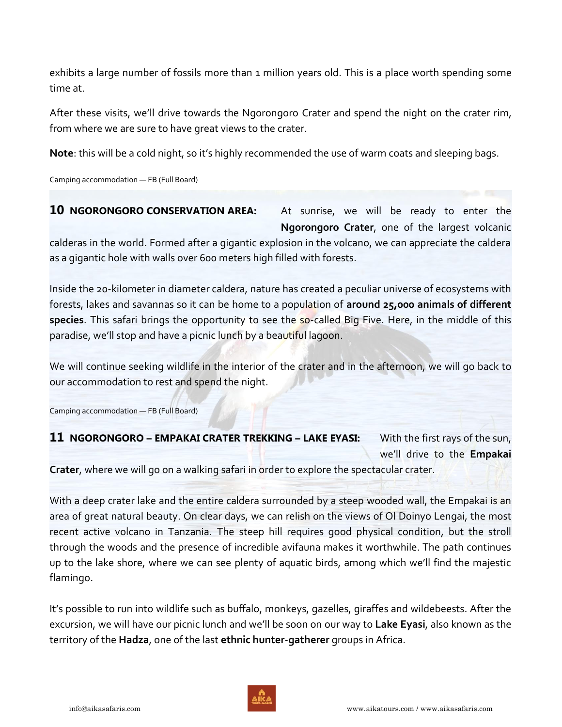exhibits a large number of fossils more than 1 million years old. This is a place worth spending some time at.

After these visits, we'll drive towards the Ngorongoro Crater and spend the night on the crater rim, from where we are sure to have great views to the crater.

**Note**: this will be a cold night, so it's highly recommended the use of warm coats and sleeping bags.

Camping accommodation — FB (Full Board)

**10 NGORONGORO CONSERVATION AREA:** At sunrise, we will be ready to enter the **Ngorongoro Crater**, one of the largest volcanic

calderas in the world. Formed after a gigantic explosion in the volcano, we can appreciate the caldera as a gigantic hole with walls over 600 meters high filled with forests.

Inside the 20-kilometer in diameter caldera, nature has created a peculiar universe of ecosystems with forests, lakes and savannas so it can be home to a population of **around 25,000 animals of different species**. This safari brings the opportunity to see the so-called Big Five. Here, in the middle of this paradise, we'll stop and have a picnic lunch by a beautiful lagoon.

We will continue seeking wildlife in the interior of the crater and in the afternoon, we will go back to our accommodation to rest and spend the night.

Camping accommodation — FB (Full Board)

# **11 NGORONGORO – EMPAKAI CRATER TREKKING – LAKE EYASI:** With the first rays of the sun,

we'll drive to the **Empakai**

**Crater**, where we will go on a walking safari in order to explore the spectacular crater.

With a deep crater lake and the entire caldera surrounded by a steep wooded wall, the Empakai is an area of great natural beauty. On clear days, we can relish on the views of Ol Doinyo Lengai, the most recent active volcano in Tanzania. The steep hill requires good physical condition, but the stroll through the woods and the presence of incredible avifauna makes it worthwhile. The path continues up to the lake shore, where we can see plenty of aquatic birds, among which we'll find the majestic flamingo.

It's possible to run into wildlife such as buffalo, monkeys, gazelles, giraffes and wildebeests. After the excursion, we will have our picnic lunch and we'll be soon on our way to **Lake Eyasi**, also known as the territory of the **Hadza**, one of the last **ethnic hunter**-**gatherer** groups in Africa.

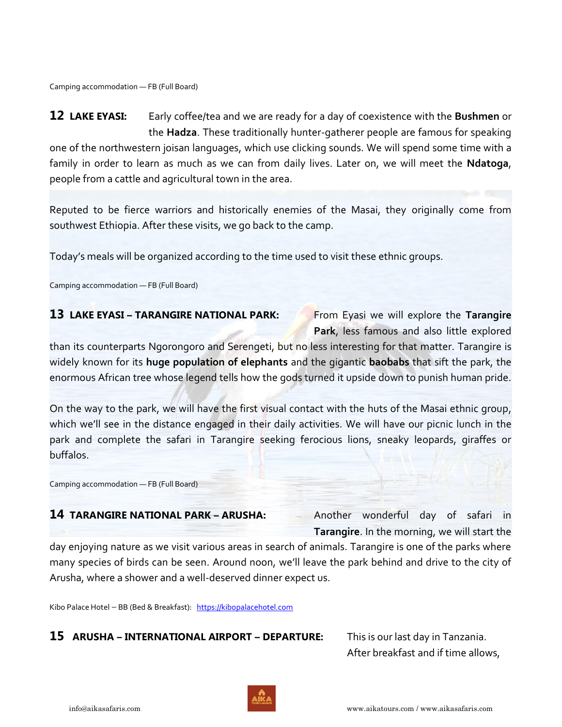Camping accommodation — FB (Full Board)

**12 LAKE EYASI:** Early coffee/tea and we are ready for a day of coexistence with the **Bushmen** or the **Hadza**. These traditionally hunter-gatherer people are famous for speaking one of the northwestern joisan languages, which use clicking sounds. We will spend some time with a family in order to learn as much as we can from daily lives. Later on, we will meet the **Ndatoga**, people from a cattle and agricultural town in the area.

Reputed to be fierce warriors and historically enemies of the Masai, they originally come from southwest Ethiopia. After these visits, we go back to the camp.

Today's meals will be organized according to the time used to visit these ethnic groups.

Camping accommodation — FB (Full Board)

# **13 LAKE EYASI – TARANGIRE NATIONAL PARK:** From Eyasi we will explore the Tarangire

**Park**, less famous and also little explored

than its counterparts Ngorongoro and Serengeti, but no less interesting for that matter. Tarangire is widely known for its **huge population of elephants** and the gigantic **baobabs** that sift the park, the enormous African tree whose legend tells how the gods turned it upside down to punish human pride.

On the way to the park, we will have the first visual contact with the huts of the Masai ethnic group, which we'll see in the distance engaged in their daily activities. We will have our picnic lunch in the park and complete the safari in Tarangire seeking ferocious lions, sneaky leopards, giraffes or buffalos.

Camping accommodation — FB (Full Board)

# **14 TARANGIRE NATIONAL PARK – ARUSHA:** Another wonderful day of safari in

**Tarangire**. In the morning, we will start the

day enjoying nature as we visit various areas in search of animals. Tarangire is one of the parks where many species of birds can be seen. Around noon, we'll leave the park behind and drive to the city of Arusha, where a shower and a well-deserved dinner expect us.

Kibo Palace Hotel — BB (Bed & Breakfast): [https://kibopalacehotel.com](https://kibopalacehotel.com/)

## **15 ARUSHA – INTERNATIONAL AIRPORT – DEPARTURE:** This is our last day in Tanzania.

After breakfast and if time allows,

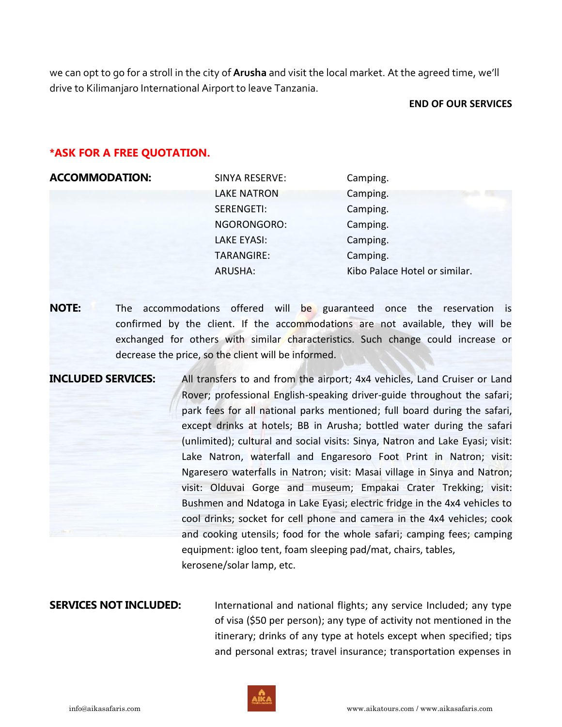we can opt to go for a stroll in the city of **Arusha** and visit the local market. At the agreed time, we'll drive to Kilimanjaro International Airport to leave Tanzania.

### **END OF OUR SERVICES**

### **\*ASK FOR A FREE QUOTATION.**

| <b>ACCOMMODATION:</b> | SINYA RESERVE:     | Camping.                      |
|-----------------------|--------------------|-------------------------------|
|                       | <b>LAKE NATRON</b> | Camping.<br>e v               |
|                       | SERENGETI:         | Camping.                      |
|                       | NGORONGORO:        | Camping.                      |
|                       | <b>LAKE EYASI:</b> | Camping.                      |
|                       | <b>TARANGIRE:</b>  | Camping.                      |
|                       | ARUSHA:            | Kibo Palace Hotel or similar. |

**NOTE:** The accommodations offered will be guaranteed once the reservation is confirmed by the client. If the accommodations are not available, they will be exchanged for others with similar characteristics. Such change could increase or decrease the price, so the client will be informed.

**INCLUDED SERVICES:** All transfers to and from the airport; 4x4 vehicles, Land Cruiser or Land Rover; professional English-speaking driver-guide throughout the safari; park fees for all national parks mentioned; full board during the safari, except drinks at hotels; BB in Arusha; bottled water during the safari (unlimited); cultural and social visits: Sinya, Natron and Lake Eyasi; visit: Lake Natron, waterfall and Engaresoro Foot Print in Natron; visit: Ngaresero waterfalls in Natron; visit: Masai village in Sinya and Natron; visit: Olduvai Gorge and museum; Empakai Crater Trekking; visit: Bushmen and Ndatoga in Lake Eyasi; electric fridge in the 4x4 vehicles to cool drinks; socket for cell phone and camera in the 4x4 vehicles; cook and cooking utensils; food for the whole safari; camping fees; camping equipment: igloo tent, foam sleeping pad/mat, chairs, tables, kerosene/solar lamp, etc.

**SERVICES NOT INCLUDED:** International and national flights; any service Included; any type of visa (\$50 per person); any type of activity not mentioned in the itinerary; drinks of any type at hotels except when specified; tips and personal extras; travel insurance; transportation expenses in